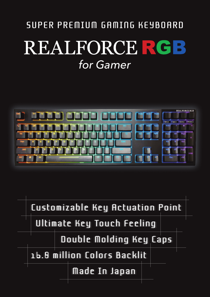# SUPER PREMIUM GAMING KEYBOARD REALFORCE RGB *for Gamer*



Customizable Key Actuation Point

Ultimate Key Touch Feeling

Double Molding Key Caps

16.8 million Colors Backlit

Made In Japan